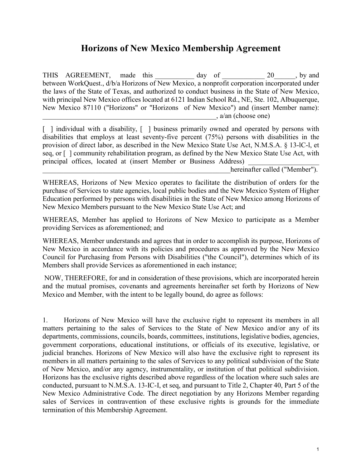## **Horizons of New Mexico Membership Agreement**

THIS AGREEMENT, made this day of 20 by and between WorkQuest., d/b/a Horizons of New Mexico, a nonprofit corporation incorporated under the laws of the State of Texas, and authorized to conduct business in the State of New Mexico, with principal New Mexico offices located at 6121 Indian School Rd., NE, Ste. 102, Albuquerque, New Mexico 87110 ("Horizons" or "Horizons of New Mexico") and (insert Member name):  $\alpha$ , a/an (choose one)

[ ] individual with a disability, [ ] business primarily owned and operated by persons with disabilities that employs at least seventy-five percent (75%) persons with disabilities in the provision of direct labor, as described in the New Mexico State Use Act, N.M.S.A. § 13-lC-l, et seq, or [ ] community rehabilitation program, as defined by the New Mexico State Use Act, with principal offices, located at (insert Member or Business Address)

hereinafter called ("Member").

WHEREAS, Horizons of New Mexico operates to facilitate the distribution of orders for the purchase of Services to state agencies, local public bodies and the New Mexico System of Higher Education performed by persons with disabilities in the State of New Mexico among Horizons of New Mexico Members pursuant to the New Mexico State Use Act; and

WHEREAS, Member has applied to Horizons of New Mexico to participate as a Member providing Services as aforementioned; and

WHEREAS, Member understands and agrees that in order to accomplish its purpose, Horizons of New Mexico in accordance with its policies and procedures as approved by the New Mexico Council for Purchasing from Persons with Disabilities ("the Council"), determines which of its Members shall provide Services as aforementioned in each instance;

NOW, THEREFORE, for and in consideration of these provisions, which are incorporated herein and the mutual promises, covenants and agreements hereinafter set forth by Horizons of New Mexico and Member, with the intent to be legally bound, do agree as follows:

1. Horizons of New Mexico will have the exclusive right to represent its members in all matters pertaining to the sales of Services to the State of New Mexico and/or any of its departments, commissions, councils, boards, committees, institutions, legislative bodies, agencies, government corporations, educational institutions, or officials of its executive, legislative, or judicial branches. Horizons of New Mexico will also have the exclusive right to represent its members in all matters pertaining to the sales of Services to any political subdivision of the State of New Mexico, and/or any agency, instrumentality, or institution of that political subdivision. Horizons has the exclusive rights described above regardless of the location where such sales are conducted, pursuant to N.M.S.A. 13-IC-I, et seq, and pursuant to Title 2, Chapter 40, Part 5 of the New Mexico Administrative Code. The direct negotiation by any Horizons Member regarding sales of Services in contravention of these exclusive rights is grounds for the immediate termination of this Membership Agreement.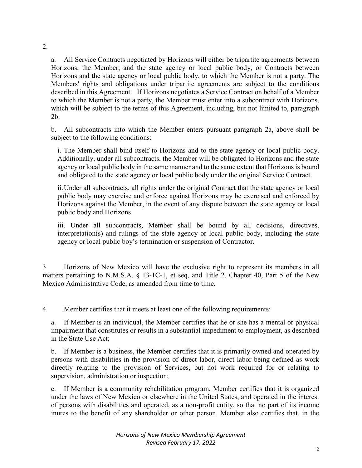a. All Service Contracts negotiated by Horizons will either be tripartite agreements between Horizons, the Member, and the state agency or local public body, or Contracts between Horizons and the state agency or local public body, to which the Member is not a party. The Members' rights and obligations under tripartite agreements are subject to the conditions described in this Agreement. If Horizons negotiates a Service Contract on behalf of a Member to which the Member is not a party, the Member must enter into a subcontract with Horizons, which will be subject to the terms of this Agreement, including, but not limited to, paragraph 2b.

b. All subcontracts into which the Member enters pursuant paragraph 2a, above shall be subject to the following conditions:

i. The Member shall bind itself to Horizons and to the state agency or local public body. Additionally, under all subcontracts, the Member will be obligated to Horizons and the state agency or local public body in the same manner and to the same extent that Horizons is bound and obligated to the state agency or local public body under the original Service Contract.

ii.Under all subcontracts, all rights under the original Contract that the state agency or local public body may exercise and enforce against Horizons may be exercised and enforced by Horizons against the Member, in the event of any dispute between the state agency or local public body and Horizons.

iii. Under all subcontracts, Member shall be bound by all decisions, directives, interpretation(s) and rulings of the state agency or local public body, including the state agency or local public boy's termination or suspension of Contractor.

3. Horizons of New Mexico will have the exclusive right to represent its members in all matters pertaining to N.M.S.A. § 13-1C-1, et seq, and Title 2, Chapter 40, Part 5 of the New Mexico Administrative Code, as amended from time to time.

4. Member certifies that it meets at least one of the following requirements:

a. If Member is an individual, the Member certifies that he or she has a mental or physical impairment that constitutes or results in a substantial impediment to employment, as described in the State Use Act;

b. If Member is a business, the Member certifies that it is primarily owned and operated by persons with disabilities in the provision of direct labor, direct labor being defined as work directly relating to the provision of Services, but not work required for or relating to supervision, administration or inspection;

c. If Member is a community rehabilitation program, Member certifies that it is organized under the laws of New Mexico or elsewhere in the United States, and operated in the interest of persons with disabilities and operated, as a non-profit entity, so that no part of its income inures to the benefit of any shareholder or other person. Member also certifies that, in the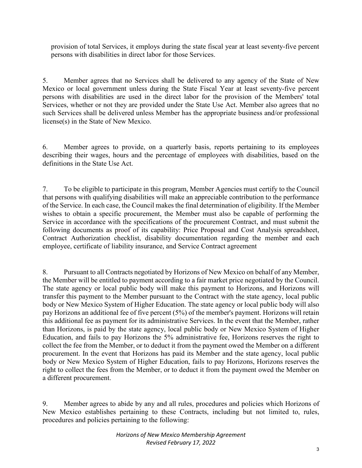provision of total Services, it employs during the state fiscal year at least seventy-five percent persons with disabilities in direct labor for those Services.

5. Member agrees that no Services shall be delivered to any agency of the State of New Mexico or local government unless during the State Fiscal Year at least seventy-five percent persons with disabilities are used in the direct labor for the provision of the Members' total Services, whether or not they are provided under the State Use Act. Member also agrees that no such Services shall be delivered unless Member has the appropriate business and/or professional license(s) in the State of New Mexico.

6. Member agrees to provide, on a quarterly basis, reports pertaining to its employees describing their wages, hours and the percentage of employees with disabilities, based on the definitions in the State Use Act.

7. To be eligible to participate in this program, Member Agencies must certify to the Council that persons with qualifying disabilities will make an appreciable contribution to the performance of the Service. In each case, the Council makes the final determination of eligibility. If the Member wishes to obtain a specific procurement, the Member must also be capable of performing the Service in accordance with the specifications of the procurement Contract, and must submit the following documents as proof of its capability: Price Proposal and Cost Analysis spreadsheet, Contract Authorization checklist, disability documentation regarding the member and each employee, certificate of liability insurance, and Service Contract agreement

8. Pursuant to all Contracts negotiated by Horizons of New Mexico on behalf of any Member, the Member will be entitled to payment according to a fair market price negotiated by the Council. The state agency or local public body will make this payment to Horizons, and Horizons will transfer this payment to the Member pursuant to the Contract with the state agency, local public body or New Mexico System of Higher Education. The state agency or local public body will also pay Horizons an additional fee of five percent (5%) of the member's payment. Horizons will retain this additional fee as payment for its administrative Services. In the event that the Member, rather than Horizons, is paid by the state agency, local public body or New Mexico System of Higher Education, and fails to pay Horizons the 5% administrative fee, Horizons reserves the right to collect the fee from the Member, or to deduct it from the payment owed the Member on a different procurement. In the event that Horizons has paid its Member and the state agency, local public body or New Mexico System of Higher Education, fails to pay Horizons, Horizons reserves the right to collect the fees from the Member, or to deduct it from the payment owed the Member on a different procurement.

9. Member agrees to abide by any and all rules, procedures and policies which Horizons of New Mexico establishes pertaining to these Contracts, including but not limited to, rules, procedures and policies pertaining to the following: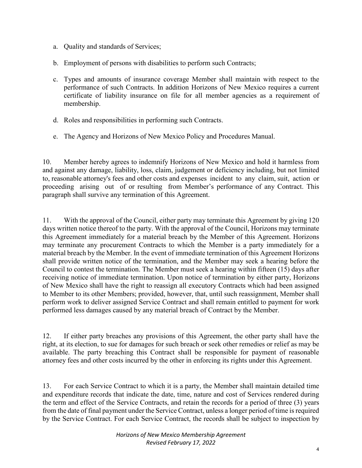- a. Quality and standards of Services;
- b. Employment of persons with disabilities to perform such Contracts;
- c. Types and amounts of insurance coverage Member shall maintain with respect to the performance of such Contracts. In addition Horizons of New Mexico requires a current certificate of liability insurance on file for all member agencies as a requirement of membership.
- d. Roles and responsibilities in performing such Contracts.
- e. The Agency and Horizons of New Mexico Policy and Procedures Manual.

10. Member hereby agrees to indemnify Horizons of New Mexico and hold it harmless from and against any damage, liability, loss, claim, judgement or deficiency including, but not limited to, reasonable attorney's fees and other costs and expenses incident to any claim, suit, action or proceeding arising out of or resulting from Member's performance of any Contract. This paragraph shall survive any termination of this Agreement.

11. With the approval of the Council, either party may terminate this Agreement by giving 120 days written notice thereof to the party. With the approval of the Council, Horizons may terminate this Agreement immediately for a material breach by the Member of this Agreement. Horizons may terminate any procurement Contracts to which the Member is a party immediately for a material breach by the Member. In the event of immediate termination of this Agreement Horizons shall provide written notice of the termination, and the Member may seek a hearing before the Council to contest the termination. The Member must seek a hearing within fifteen (15) days after receiving notice of immediate termination. Upon notice of termination by either party, Horizons of New Mexico shall have the right to reassign all executory Contracts which had been assigned to Member to its other Members; provided, however, that, until such reassignment, Member shall perform work to deliver assigned Service Contract and shall remain entitled to payment for work performed less damages caused by any material breach of Contract by the Member.

12. If either party breaches any provisions of this Agreement, the other party shall have the right, at its election, to sue for damages for such breach or seek other remedies or relief as may be available. The party breaching this Contract shall be responsible for payment of reasonable attorney fees and other costs incurred by the other in enforcing its rights under this Agreement.

13. For each Service Contract to which it is a party, the Member shall maintain detailed time and expenditure records that indicate the date, time, nature and cost of Services rendered during the term and effect of the Service Contracts, and retain the records for a period of three (3) years from the date of final payment under the Service Contract, unless a longer period of time is required by the Service Contract. For each Service Contract, the records shall be subject to inspection by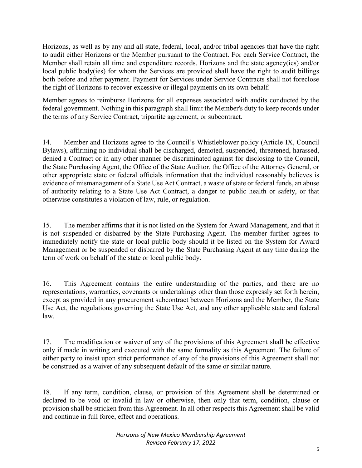Horizons, as well as by any and all state, federal, local, and/or tribal agencies that have the right to audit either Horizons or the Member pursuant to the Contract. For each Service Contract, the Member shall retain all time and expenditure records. Horizons and the state agency(ies) and/or local public body(ies) for whom the Services are provided shall have the right to audit billings both before and after payment. Payment for Services under Service Contracts shall not foreclose the right of Horizons to recover excessive or illegal payments on its own behalf.

Member agrees to reimburse Horizons for all expenses associated with audits conducted by the federal government. Nothing in this paragraph shall limit the Member's duty to keep records under the terms of any Service Contract, tripartite agreement, or subcontract.

14. Member and Horizons agree to the Council's Whistleblower policy (Article IX, Council Bylaws), affirming no individual shall be discharged, demoted, suspended, threatened, harassed, denied a Contract or in any other manner be discriminated against for disclosing to the Council, the State Purchasing Agent, the Office of the State Auditor, the Office of the Attorney General, or other appropriate state or federal officials information that the individual reasonably believes is evidence of mismanagement of a State Use Act Contract, a waste of state or federal funds, an abuse of authority relating to a State Use Act Contract, a danger to public health or safety, or that otherwise constitutes a violation of law, rule, or regulation.

15. The member affirms that it is not listed on the System for Award Management, and that it is not suspended or disbarred by the State Purchasing Agent. The member further agrees to immediately notify the state or local public body should it be listed on the System for Award Management or be suspended or disbarred by the State Purchasing Agent at any time during the term of work on behalf of the state or local public body.

16. This Agreement contains the entire understanding of the parties, and there are no representations, warranties, covenants or undertakings other than those expressly set forth herein, except as provided in any procurement subcontract between Horizons and the Member, the State Use Act, the regulations governing the State Use Act, and any other applicable state and federal law.

17. The modification or waiver of any of the provisions of this Agreement shall be effective only if made in writing and executed with the same formality as this Agreement. The failure of either party to insist upon strict performance of any of the provisions of this Agreement shall not be construed as a waiver of any subsequent default of the same or similar nature.

18. If any term, condition, clause, or provision of this Agreement shall be determined or declared to be void or invalid in law or otherwise, then only that term, condition, clause or provision shall be stricken from this Agreement. In all other respects this Agreement shall be valid and continue in full force, effect and operations.